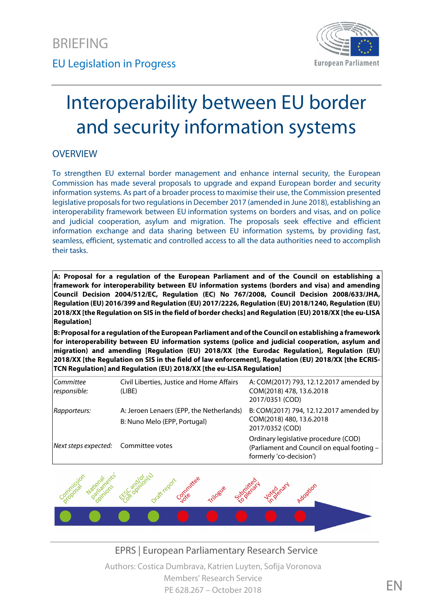

# Interoperability between EU border and security information systems

## **OVERVIEW**

To strengthen EU external border management and enhance internal security, the European Commission has made several proposals to upgrade and expand European border and security information systems. As part of a broader process to maximise their use, the Commission presented legislative proposals for two regulations in December 2017 (amended in June 2018), establishing an interoperability framework between EU information systems on borders and visas, and on police and judicial cooperation, asylum and migration. The proposals seek effective and efficient information exchange and data sharing between EU information systems, by providing fast, seamless, efficient, systematic and controlled access to all the data authorities need to accomplish their tasks.

**A: Proposal for a regulation of the European Parliament and of the Council on establishing a framework for interoperability between EU information systems (borders and visa) and amending Council Decision 2004/512/EC, Regulation (EC) No 767/2008, Council Decision 2008/633/JHA, Regulation (EU) 2016/399 and Regulation (EU) 2017/2226, Regulation (EU) 2018/1240, Regulation (EU) 2018/XX [the Regulation on SIS in the field of border checks] and Regulation (EU) 2018/XX [the eu-LISA Regulation]**

**B: Proposal for a regulation of the European Parliament and of the Council on establishing a framework for interoperability between EU information systems (police and judicial cooperation, asylum and migration) and amending [Regulation (EU) 2018/XX [the Eurodac Regulation], Regulation (EU) 2018/XX [the Regulation on SIS in the field of law enforcement], Regulation (EU) 2018/XX [the ECRIS- TCN Regulation] and Regulation (EU) 2018/XX [the eu-LISA Regulation]**

| Committee<br>responsible:            | Civil Liberties, Justice and Home Affairs<br>(LIBE)                      | A: COM(2017) 793, 12.12.2017 amended by<br>COM(2018) 478, 13.6.2018<br>2017/0351 (COD)                        |
|--------------------------------------|--------------------------------------------------------------------------|---------------------------------------------------------------------------------------------------------------|
| Rapporteurs:                         | A: Jeroen Lenaers (EPP, the Netherlands)<br>B: Nuno Melo (EPP, Portugal) | B: COM(2017) 794, 12.12.2017 amended by<br>COM(2018) 480, 13.6.2018<br>2017/0352 (COD)                        |
| Next steps expected: Committee votes |                                                                          | Ordinary legislative procedure (COD)<br>(Parliament and Council on equal footing -<br>formerly 'co-decision') |



EPRS | European Parliamentary Research Service Authors: Costica Dumbrava, Katrien Luyten, Sofija Voronova Members' Research Service PE 628.267 – October 2018 FREE STATES STATES STATES STATES STATES STATES STATES STATES STATES STATES STATES ST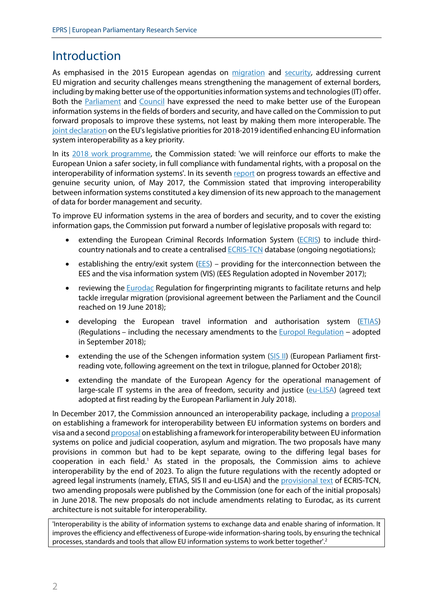## Introduction

As emphasised in the 2015 European agendas on [migration](http://eur-lex.europa.eu/legal-content/EN/TXT/?uri=CELEX%3A52015DC0240) and [security,](http://eur-lex.europa.eu/legal-content/EN/TXT/?uri=CELEX:52015DC0185) addressing current EU migration and security challenges means strengthening the management of external borders, including by making better use of the opportunities information systems and technologies (IT) offer. Both the [Parliament](http://www.europarl.europa.eu/sides/getDoc.do?pubRef=-//EP//TEXT+TA+P8-TA-2016-0312+0+DOC+XML+V0//EN) and [Council](http://www.consilium.europa.eu/media/23985/22-23-euco-final-conclusions.pdf) have expressed the need to make better use of the European information systems in the fields of borders and security, and have called on the Commission to put forward proposals to improve these systems, not least by making them more interoperable. The joint [declaration](https://ec.europa.eu/commission/sites/beta-political/files/joint-declaration-eu-legislative-priorities-2018-19_en.pdf) on the EU's legislative priorities for 2018-2019 identified enhancing EU information system interoperability as a key priority.

In its [2018 work programme](https://ec.europa.eu/info/publications/2018-commission-work-programme-key-documents_en), the Commission stated: 'we will reinforce our efforts to make the European Union a safer society, in full compliance with fundamental rights, with a proposal on the interoperability of information systems'. In its seventh [report](http://eur-lex.europa.eu/legal-content/EN/TXT/?uri=CELEX:52017DC0261) on progress towards an effective and genuine security union, of May 2017, the Commission stated that improving interoperability between information systems constituted a key dimension of its new approach to the management of data for border management and security.

To improve EU information systems in the area of borders and security, and to cover the existing information gaps, the Commission put forward a number of legislative proposals with regard to:

- extending the European Criminal Records Information Syst[em \(EC](http://www.europarl.europa.eu/oeil/popups/ficheprocedure.do?reference=2016/0002(COD)&l=en)RIS) to include third country nationals and to create a centralised **[ECRIS-TCN](http://www.europarl.europa.eu/oeil/popups/ficheprocedure.do?reference=2017/0144(COD)&l=EN)** database (ongoing negotiations);
- establishing the entry/exit sy[stem \(](http://www.europarl.europa.eu/oeil/popups/ficheprocedure.do?reference=2016/0106%28COD%29&l=en)EES) providing for the interconnection between the EES and the visa information system (VIS) (EES Regulation adopted in November 2017);
- reviewing the [Euro](http://www.europarl.europa.eu/oeil/popups/ficheprocedure.do?reference=2016/0132%28COD%29&l=en)dac Regulation for fingerprinting migrants to facilitate returns and help tackle irregular migration (provisional agreement between the Parliament and the Council reached on 19 June 2018);
- developing the European travel information and authorisation syste[m \(ET](http://www.europarl.europa.eu/oeil/popups/ficheprocedure.do?lang=en&reference=2016/0357A(COD))IAS) (Regulations – including the necessary amendments to the [Europol Regulation](http://www.europarl.europa.eu/oeil/popups/ficheprocedure.do?lang=en&reference=2016/0357B(COD)) – adopted in September 2018);
- extending the use of the Schengen information syst[em \(S](http://www.europarl.europa.eu/oeil/search/search.do?searchTab=y&searchType=0&text=SIS&snippet=true&noHeader=false&:committeeResponsible_sid=565016&:year=2016&:EVPLETypeText_id=544001&:parliamentaryTerm=8th+term+2014+-+2019&lang=en&dismax=y)IS II) (European Parliament first reading vote, following agreement on the text in trilogue, planned for October 2018);
- extending the mandate of the European Agency for the operational management of large-scale IT systems in the area of freedom, security and justice [\(eu-LISA](http://www.europarl.europa.eu/oeil/popups/ficheprocedure.do?lang=&reference=2017/0145(COD))) (agreed text adopted at first reading by the European Parliament in July 2018).

In December 2017, the Commission announced an interoperability package, including a [proposal](http://www.europarl.europa.eu/oeil/popups/ficheprocedure.do?reference=2017/0351(COD)&l=en) on establishing a framework for interoperability between EU information systems on borders and visa and a second [proposal](http://www.europarl.europa.eu/oeil/popups/ficheprocedure.do?reference=2017/0352(COD)&l=en) on establishing a framework for interoperability between EU information systems on police and judicial cooperation, asylum and migration. The two proposals have many provisions in common but had to be kept separate, owing to the differing legal bases for cooperation in each field.<sup>1</sup> As stated in the proposals, the Commission aims to achieve interoperability by the end of 2023. To align the future regulations with the recently adopted or agreed legal instruments (namely, ETIAS, SIS II and eu-LISA) and the [provisional text](http://data.consilium.europa.eu/doc/document/ST-9751-2018-INIT/en/pdf) of ECRIS-TCN, two amending proposals were published by the Commission (one for each of the initial proposals) in June 2018. The new proposals do not include amendments relating to Eurodac, as its current architecture is not suitable for interoperability.

'Interoperability is the ability of information systems to exchange data and enable sharing of information. It improves the efficiency and effectiveness of Europe-wide information-sharing tools, by ensuring the technical processes, standards and tools that allow EU information systems to work better together'.<sup>2</sup>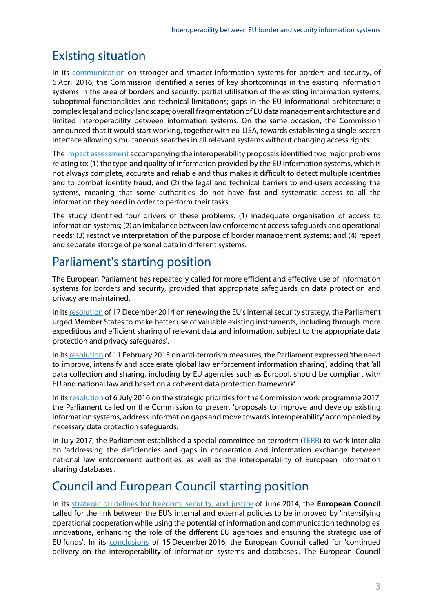# Existing situation

In its [communication](http://eur-lex.europa.eu/legal-content/EN/TXT/?uri=CELEX:52016DC0205) on stronger and smarter information systems for borders and security, of 6 April 2016, the Commission identified a series of key shortcomings in the existing information systems in the area of borders and security: partial utilisation of the existing information systems; suboptimal functionalities and technical limitations; gaps in the EU informational architecture; a complex legal and policy landscape; overall fragmentation of EU data management architecture and limited interoperability between information systems. On the same occasion, the Commission announced that it would start working, together with eu-LISA, towards establishing a single-search interface allowing simultaneous searches in all relevant systems without changing access rights.

The [impact assessment](http://eur-lex.europa.eu/legal-content/EN/TXT/?qid=1513605842253&uri=CELEX:52017SC0473) accompanying the interoperability proposals identified two major problems relating to: (1) the type and quality of information provided by the EU information systems, which is not always complete, accurate and reliable and thus makes it difficult to detect multiple identities and to combat identity fraud; and (2) the legal and technical barriers to end-users accessing the systems, meaning that some authorities do not have fast and systematic access to all the information they need in order to perform their tasks.

The study identified four drivers of these problems: (1) inadequate organisation of access to information systems; (2) an imbalance between law enforcement access safeguards and operational needs; (3) restrictive interpretation of the purpose of border management systems; and (4) repeat and separate storage of personal data in different systems.

# Parliament's starting position

The European Parliament has repeatedly called for more efficient and effective use of information systems for borders and security, provided that appropriate safeguards on data protection and privacy are maintained.

In its [resolution](http://www.europarl.europa.eu/sides/getDoc.do?type=TA&reference=P8-TA-2014-0102&language=EN) of 17 December 2014 on renewing the EU's internal security strategy, the Parliament urged Member States to make better use of valuable existing instruments, including through 'more expeditious and efficient sharing of relevant data and information, subject to the appropriate data protection and privacy safeguards'.

In its[resolution](http://www.europarl.europa.eu/sides/getDoc.do?pubRef=-//EP//TEXT+TA+P8-TA-2015-0032+0+DOC+XML+V0//EN) of 11 February 2015 on anti-terrorism measures, the Parliament expressed 'the need to improve, intensify and accelerate global law enforcement information sharing', adding that 'all data collection and sharing, including by EU agencies such as Europol, should be compliant with EU and national law and based on a coherent data protection framework'.

In its [resolution](http://www.europarl.europa.eu/sides/getDoc.do?pubRef=-//EP//TEXT+TA+P8-TA-2016-0312+0+DOC+XML+V0//EN) of 6 July 2016 on the strategic priorities for the Commission work programme 2017, the Parliament called on the Commission to present 'proposals to improve and develop existing information systems, address information gaps and move towards interoperability' accompanied by necessary data protection safeguards.

In July 2017, the Parliament established a special committee on terrorism [\(TERR](http://www.europarl.europa.eu/committees/en/terr/home.html)) to work inter alia on 'addressing the deficiencies and gaps in cooperation and information exchange between national law enforcement authorities, as well as the interoperability of European information sharing databases'.

# Council and European Council starting position

In its [strategic guidelines for freedom, security, and justice](http://www.consilium.europa.eu/en/policies/strategic-guidelines-jha/) of June 2014, the **European Council** called for the link between the EU's internal and external policies to be improved by 'intensifying operational cooperation while using the potential of information and communication technologies' innovations, enhancing the role of the different EU agencies and ensuring the strategic use of EU funds'. In its [conclusions](http://www.consilium.europa.eu/media/21929/15-euco-conclusions-final.pdf) of 15 December 2016, the European Council called for 'continued delivery on the interoperability of information systems and databases'. The European Council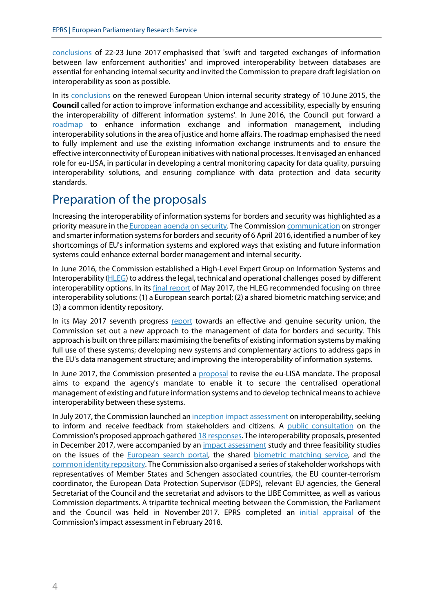[conclusions](http://www.consilium.europa.eu/media/23985/22-23-euco-final-conclusions.pdf) of 22-23 June 2017 emphasised that 'swift and targeted exchanges of information between law enforcement authorities' and improved interoperability between databases are essential for enhancing internal security and invited the Commission to prepare draft legislation on interoperability as soon as possible.

In its [conclusions](http://data.consilium.europa.eu/doc/document/ST-9798-2015-INIT/en/pdf) on the renewed European Union internal security strategy of 10 June 2015, the **Council** called for action to improve 'information exchange and accessibility, especially by ensuring the interoperability of different information systems'. In June 2016, the Council put forward a [roadmap](http://data.consilium.europa.eu/doc/document/ST-9368-2016-REV-1/en/pdf) to enhance information exchange and information management, including interoperability solutions in the area of justice and home affairs. The roadmap emphasised the need to fully implement and use the existing information exchange instruments and to ensure the effective interconnectivity of European initiatives with national processes. It envisaged an enhanced role for eu-LISA, in particular in developing a central monitoring capacity for data quality, pursuing interoperability solutions, and ensuring compliance with data protection and data security standards.

## Preparation of the proposals

Increasing the interoperability of information systemsfor borders and security was highlighted as a priority measure in the [European agenda on security](http://eur-lex.europa.eu/legal-content/EN/TXT/?uri=CELEX:52015DC0185). The Commission [communication](http://eur-lex.europa.eu/legal-content/EN/TXT/?uri=CELEX:52016DC0205) on stronger and smarter information systems for borders and security of 6 April 2016, identified a number of key shortcomings of EU's information systems and explored ways that existing and future information systems could enhance external border management and internal security.

In June 2016, the Commission established a High-Level Expert Group on Information Systems and Interoperability [\(HLEG](http://ec.europa.eu/transparency/regexpert/index.cfm?do=groupDetail.groupDetail&groupID=3435)) to address the legal, technical and operational challenges posed by different interoperability options. In its [final report](http://ec.europa.eu/transparency/regexpert/index.cfm?do=groupDetail.groupDetailDoc&id=32600&no=1) of May 2017, the HLEG recommended focusing on three interoperability solutions: (1) a European search portal; (2) a shared biometric matching service; and (3) a common identity repository.

In its May 2017 seventh progress [report](http://eur-lex.europa.eu/legal-content/EN/TXT/?uri=CELEX:52017DC0261) towards an effective and genuine security union, the Commission set out a new approach to the management of data for borders and security. This approach is built on three pillars: maximising the benefits of existing information systems by making full use of these systems; developing new systems and complementary actions to address gaps in the EU's data management structure; and improving the interoperability of information systems.

In June 2017, the Commission presented a [proposal](http://www.europarl.europa.eu/oeil/popups/ficheprocedure.do?lang=&reference=2017/0145(COD)) to revise the eu-LISA mandate. The proposal aims to expand the agency's mandate to enable it to secure the centralised operational management of existing and future information systems and to develop technical meansto achieve interoperability between these systems.

In July 2017, the Commission launched an *[inception impact assessment](http://ec.europa.eu/info/law/better-regulation/initiatives/ares-2017-3765711_en)* on interoperability, seeking to inform and receive feedback from stakeholders and citizens. A [public consultation](https://ec.europa.eu/home-affairs/content/consultation-interoperability-eu-information-systems-borders-and-security_en) on the Commission's proposed approach gathered 18 [responses](https://eur-lex.europa.eu/resource.html?uri=cellar:ea64e93b-e01b-11e7-9749-01aa75ed71a1.0001.02/DOC_1&format=PDF). The interoperability proposals, presented in December 2017, were accompanied by an [impact assessment](https://eur-lex.europa.eu/legal-content/EN/TXT/?uri=SWD:2017:0473:FIN) study and three feasibility studies on the issues of the **[European search portal](https://eur-lex.europa.eu/resource.html?uri=cellar:ea64e93b-e01b-11e7-9749-01aa75ed71a1.0001.02/DOC_1&format=PDF)**, the shared **biometric matching service**, and the [common identity repository](https://publications.europa.eu/en/publication-detail/-/publication/11755aae-0c84-11e8-966a-01aa75ed71a1/language-en). The Commission also organised a series of stakeholder workshops with representatives of Member States and Schengen associated countries, the EU counter-terrorism coordinator, the European Data Protection Supervisor (EDPS), relevant EU agencies, the General Secretariat of the Council and the secretariat and advisors to the LIBE Committee, as well as various Commission departments. A tripartite technical meeting between the Commission, the Parliament and the Council was held in November 2017. EPRS completed an [initial appraisal](http://www.europarl.europa.eu/RegData/etudes/BRIE/2018/615649/EPRS_BRI(2018)615649_EN.pdf) of the Commission's impact assessment in February 2018.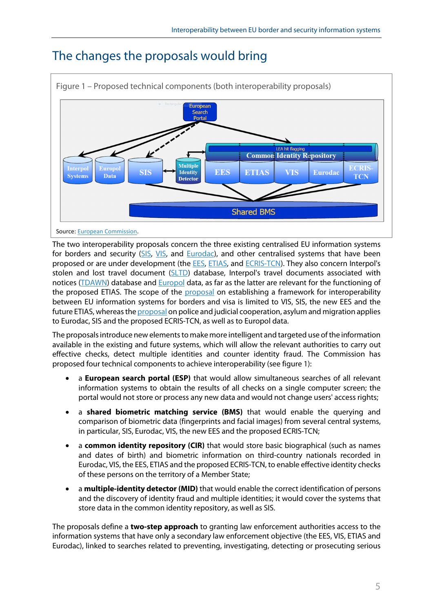

# The changes the proposals would bring

The two interoperability proposals concern the three existing centralised EU information systems for borders and security [\(SIS,](https://ec.europa.eu/home-affairs/what-we-do/policies/borders-and-visas/schengen-information-system_en) [VIS](https://ec.europa.eu/home-affairs/what-we-do/policies/borders-and-visas/visa-information-system_en), and [Eurodac](https://ec.europa.eu/home-affairs/what-we-do/policies/asylum/identification-of-applicants_en)), and other centralised systems that have been proposed or are under development (the [EES](http://eur-lex.europa.eu/legal-content/EN/TXT/?uri=CELEX:32017R2226), [ETIAS](https://eur-lex.europa.eu/legal-content/EN/TXT/PDF/?uri=OJ:L:2018:236:FULL&from=EN), and [ECRIS-TCN](https://eur-lex.europa.eu/legal-content/EN/TXT/?uri=COM:2017:0344:FIN)). They also concern Interpol's stolen and lost travel document [\(SLTD](https://www.interpol.int/INTERPOL-expertise/Border-management/SLTD-Database)) database, Interpol's travel documents associated with notices [\(TDAWN](https://www.interpol.int/INTERPOL-expertise/Databases)) database and [Europol](https://www.europol.europa.eu/activities-services/services-support/information-exchange/europol-information-system) data, as far as the latter are relevant for the functioning of the proposed ETIAS. The scope of the [proposal](http://www.europarl.europa.eu/oeil/popups/ficheprocedure.do?reference=2017/0351(COD)&l=en) on establishing a framework for interoperability between EU information systems for borders and visa is limited to VIS, SIS, the new EES and the future ETIAS, whereas the [proposal](http://www.europarl.europa.eu/oeil/popups/ficheprocedure.do?reference=2017/0352(COD)&l=en) on police and judicial cooperation, asylum and migration applies to Eurodac, SIS and the proposed ECRIS-TCN, as well as to Europol data.

The proposalsintroduce new elements to make more intelligent and targeted use of the information available in the existing and future systems, which will allow the relevant authorities to carry out effective checks, detect multiple identities and counter identity fraud. The Commission has proposed four technical components to achieve interoperability (see figure 1):

- a **European search portal (ESP)** that would allow simultaneous searches of all relevant information systems to obtain the results of all checks on a single computer screen; the portal would not store or process any new data and would not change users' access rights;
- a **shared biometric matching service (BMS)** that would enable the querying and comparison of biometric data (fingerprints and facial images) from several central systems, in particular, SIS, Eurodac, VIS, the new EES and the proposed ECRIS-TCN;
- a **common identity repository (CIR)** that would store basic biographical (such as names and dates of birth) and biometric information on third-country nationals recorded in Eurodac, VIS, the EES, ETIAS and the proposed ECRIS-TCN, to enable effective identity checks of these persons on the territory of a Member State;
- a **multiple-identity detector (MID)** that would enable the correct identification of persons and the discovery of identity fraud and multiple identities; it would cover the systems that store data in the common identity repository, as well as SIS.

The proposals define a **two-step approach** to granting law enforcement authorities access to the information systems that have only a secondary law enforcement objective (the EES, VIS, ETIAS and Eurodac), linked to searches related to preventing, investigating, detecting or prosecuting serious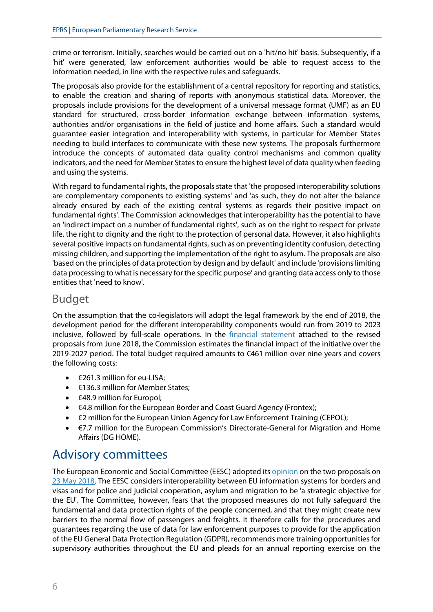crime or terrorism. Initially, searches would be carried out on a 'hit/no hit' basis. Subsequently, if a 'hit' were generated, law enforcement authorities would be able to request access to the information needed, in line with the respective rules and safeguards.

The proposals also provide for the establishment of a central repository for reporting and statistics, to enable the creation and sharing of reports with anonymous statistical data. Moreover, the proposals include provisions for the development of a universal message format (UMF) as an EU standard for structured, cross-border information exchange between information systems, authorities and/or organisations in the field of justice and home affairs. Such a standard would guarantee easier integration and interoperability with systems, in particular for Member States needing to build interfaces to communicate with these new systems. The proposals furthermore introduce the concepts of automated data quality control mechanisms and common quality indicators, and the need for Member States to ensure the highest level of data quality when feeding and using the systems.

With regard to fundamental rights, the proposals state that 'the proposed interoperability solutions are complementary components to existing systems' and 'as such, they do not alter the balance already ensured by each of the existing central systems as regards their positive impact on fundamental rights'. The Commission acknowledges that interoperability has the potential to have an 'indirect impact on a number of fundamental rights', such as on the right to respect for private life, the right to dignity and the right to the protection of personal data. However, it also highlights several positive impacts on fundamental rights, such as on preventing identity confusion, detecting missing children, and supporting the implementation of the right to asylum. The proposals are also 'based on the principles of data protection by design and by default' and include 'provisions limiting data processing to what is necessary forthe specific purpose' and granting data access only to those entities that 'need to know'.

## Budget

On the assumption that the co-legislators will adopt the legal framework by the end of 2018, the development period for the different interoperability components would run from 2019 to 2023 inclusive, followed by full-scale operations. In the [financial statement](http://www.europarl.europa.eu/RegData/docs_autres_institutions/commission_europeenne/com/2018/0480/COM_COM(2018)0480_EN.pdf) attached to the revised proposals from June 2018, the Commission estimates the financial impact of the initiative over the 2019-2027 period. The total budget required amounts to €461 million over nine years and covers the following costs:

- €261.3 million for eu-LISA;
- €136.3 million for Member States;
- $\leftarrow$   $\leftarrow$  48.9 million for Europol;
- €4.8 million for the European Border and Coast Guard Agency (Frontex);
- $\bullet$   $\in$  2 million for the European Union Agency for Law Enforcement Training (CEPOL);
- €7.7 million for the European Commission's Directorate-General for Migration and Home Affairs (DG HOME).

## Advisory committees

The European Economic and Social Committee (EESC) adopted its [opinion](https://eur-lex.europa.eu/legal-content/EN/TXT/?uri=CELEX:52018AE0446) on the two proposals on [23 May 2018](https://www.eesc.europa.eu/en/our-work/opinions-information-reports/opinions/interoperability-package). The EESC considers interoperability between EU information systems for borders and visas and for police and judicial cooperation, asylum and migration to be 'a strategic objective for the EU'. The Committee, however, fears that the proposed measures do not fully safeguard the fundamental and data protection rights of the people concerned, and that they might create new barriers to the normal flow of passengers and freights. It therefore calls for the procedures and guarantees regarding the use of data for law enforcement purposes to provide for the application of the EU General Data Protection Regulation (GDPR), recommends more training opportunities for supervisory authorities throughout the EU and pleads for an annual reporting exercise on the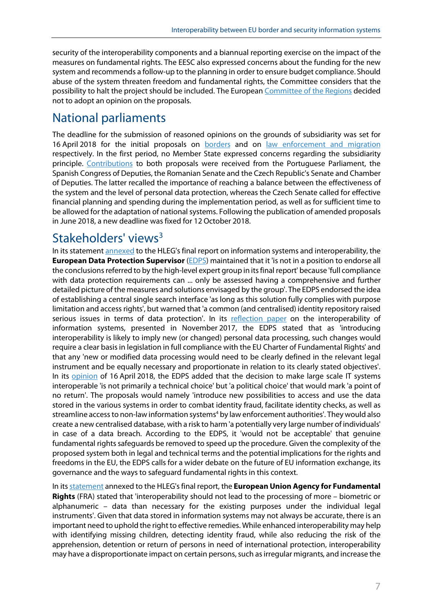security of the interoperability components and a biannual reporting exercise on the impact of the measures on fundamental rights. The EESC also expressed concerns about the funding for the new system and recommends a follow-up to the planning in order to ensure budget compliance. Should abuse of the system threaten freedom and fundamental rights, the Committee considers that the possibility to halt the project should be included. The European [Committee of the Regions](https://webapi.cor.europa.eu/documentsanonymous/cor-2018-01710-00-00-tcd-ref-en.docx) decided not to adopt an opinion on the proposals.

# National parliaments

The deadline for the submission of reasoned opinions on the grounds of subsidiarity was set for 16 April 2018 for the initial proposals on [borders](http://www.ipex.eu/IPEXL-WEB/dossier/document/COM20170793.do) and on [law enforcement and migration](http://www.ipex.eu/IPEXL-WEB/dossier/document/COM20170794.do) respectively. In the first period, no Member State expressed concerns regarding the subsidiarity principle. [Contributions](http://www.connefof.europarl.europa.eu/connefof/app/exp/COM(2017)0793) to both proposals were received from the Portuguese Parliament, the Spanish Congress of Deputies, the Romanian Senate and the Czech Republic's Senate and Chamber of Deputies. The latter recalled the importance of reaching a balance between the effectiveness of the system and the level of personal data protection, whereas the Czech Senate called for effective financial planning and spending during the implementation period, as well as for sufficient time to be allowed for the adaptation of national systems. Following the publication of amended proposals in June 2018, a new deadline was fixed for 12 October 2018.

# Stakeholders' views<sup>3</sup>

In its statement [annexed](http://ec.europa.eu/transparency/regexpert/index.cfm?do=groupDetail.groupDetailDoc&id=32600&no=1) to the HLEG's final report on information systems and interoperability, the **European Data Protection Supervisor** [\(EDPS](https://edps.europa.eu/)) maintained that it 'is not in a position to endorse all the conclusions referred to by the high-level expert group in its final report' because 'full compliance with data protection requirements can ... only be assessed having a comprehensive and further detailed picture of the measures and solutions envisaged by the group'. The EDPS endorsed the idea of establishing a central single search interface 'as long as this solution fully complies with purpose limitation and access rights', but warned that 'a common (and centralised) identity repository raised serious issues in terms of data protection'. In its [reflection paper](https://edps.europa.eu/sites/edp/files/publication/17-11-16_opinion_interoperability_en.pdf) on the interoperability of information systems, presented in November 2017, the EDPS stated that as 'introducing interoperability is likely to imply new (or changed) personal data processing, such changes would require a clear basis in legislation in full compliance with the EU Charter of Fundamental Rights' and that any 'new or modified data processing would need to be clearly defined in the relevant legal instrument and be equally necessary and proportionate in relation to its clearly stated objectives'. In its **[opinion](https://edps.europa.eu/sites/edp/files/publication/2018-04-16_interoperability_opinion_en.pdf)** of 16 April 2018, the EDPS added that the decision to make large scale IT systems interoperable 'is not primarily a technical choice' but 'a political choice' that would mark 'a point of no return'. The proposals would namely 'introduce new possibilities to access and use the data stored in the various systems in order to combat identity fraud, facilitate identity checks, as well as streamline access to non-law information systems<sup>4</sup> by law enforcement authorities'. They would also create a new centralised database, with a risk to harm 'a potentially very large number of individuals' in case of a data breach. According to the EDPS, it 'would not be acceptable' that genuine fundamental rights safeguards be removed to speed up the procedure. Given the complexity of the proposed system both in legal and technical terms and the potential implications for the rights and freedoms in the EU, the EDPS calls for a wider debate on the future of EU information exchange, its governance and the ways to safeguard fundamental rights in this context.

In its **[statement](http://ec.europa.eu/transparency/regexpert/index.cfm?do=groupDetail.groupDetailDoc&id=32600&no=1)** annexed to the HLEG's final report, the **European Union Agency for Fundamental Rights** (FRA) stated that 'interoperability should not lead to the processing of more – biometric or alphanumeric – data than necessary for the existing purposes under the individual legal instruments'. Given that data stored in information systems may not always be accurate, there is an important need to uphold the right to effective remedies. While enhanced interoperability may help with identifying missing children, detecting identity fraud, while also reducing the risk of the apprehension, detention or return of persons in need of international protection, interoperability may have a disproportionate impact on certain persons, such as irregular migrants, and increase the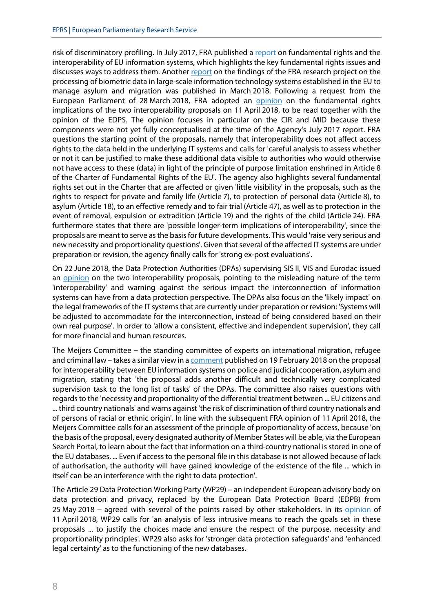risk of discriminatory profiling. In July 2017, FRA published a [report](http://fra.europa.eu/en/publication/2017/fundamental-rights-interoperability) on fundamental rights and the interoperability of EU information systems, which highlights the key fundamental rights issues and discusses ways to address them. Another [report](http://fra.europa.eu/en/publication/2018/biometrics-rights-protection) on the findings of the FRA research project on the processing of biometric data in large-scale information technology systems established in the EU to manage asylum and migration was published in March 2018. Following a request from the European Parliament of 28 March 2018, FRA adopted an [opinion](https://eur-lex.europa.eu/legal-content/EN/ALL/?uri=CONSIL:ST_8037_2018_INIT) on the fundamental rights implications of the two interoperability proposals on 11 April 2018, to be read together with the opinion of the EDPS. The opinion focuses in particular on the CIR and MID because these components were not yet fully conceptualised at the time of the Agency's July 2017 report. FRA questions the starting point of the proposals, namely that interoperability does not affect access rights to the data held in the underlying IT systems and calls for 'careful analysis to assess whether or not it can be justified to make these additional data visible to authorities who would otherwise not have access to these (data) in light of the principle of purpose limitation enshrined in Article 8 of the Charter of Fundamental Rights of the EU'. The agency also highlights several fundamental rights set out in the Charter that are affected or given 'little visibility' in the proposals, such as the rights to respect for private and family life (Article 7), to protection of personal data (Article 8), to asylum (Article 18), to an effective remedy and to fair trial (Article 47), as well as to protection in the event of removal, expulsion or extradition (Article 19) and the rights of the child (Article 24). FRA furthermore states that there are 'possible longer-term implications of interoperability', since the proposals are meant to serve as the basis for future developments. This would 'raise very serious and new necessity and proportionality questions'. Given that several of the affected IT systems are under preparation or revision, the agency finally calls for 'strong ex-post evaluations'.

On 22 June 2018, the Data Protection Authorities (DPAs) supervising SIS II, VIS and Eurodac issued an [opinion](https://eur-lex.europa.eu/legal-content/EN/ALL/?uri=CONSIL:ST_10484_2018_INIT) on the two interoperability proposals, pointing to the misleading nature of the term 'interoperability' and warning against the serious impact the interconnection of information systems can have from a data protection perspective. The DPAs also focus on the 'likely impact' on the legal frameworks of the IT systems that are currently under preparation or revision: 'Systems will be adjusted to accommodate for the interconnection, instead of being considered based on their own real purpose'. In order to 'allow a consistent, effective and independent supervision', they call for more financial and human resources.

The Meijers Committee – the standing committee of experts on international migration, refugee and criminal law – takes a similar view in a [comment](https://www.commissie-meijers.nl/sites/all/files/cm1802_comments_on_com_2017_794.pdf) published on 19 February 2018 on the proposal for interoperability between EU information systems on police and judicial cooperation, asylum and migration, stating that 'the proposal adds another difficult and technically very complicated supervision task to the long list of tasks' of the DPAs. The committee also raises questions with regards to the 'necessity and proportionality of the differential treatment between ... EU citizens and ... third country nationals' and warns against 'the risk of discrimination ofthird country nationals and of persons of racial or ethnic origin'. In line with the subsequent FRA opinion of 11 April 2018, the Meijers Committee calls for an assessment of the principle of proportionality of access, because 'on the basis of the proposal, every designated authority of Member States will be able, via the European Search Portal, to learn about the fact that information on a third-country national is stored in one of the EU databases. ... Even if accessto the personal file in this database is not allowed because of lack of authorisation, the authority will have gained knowledge of the existence of the file ... which in itself can be an interference with the right to data protection'.

The Article 29 Data Protection Working Party (WP29) – an independent European advisory body on data protection and privacy, replaced by the European Data Protection Board (EDPB) from 25 May 2018 – agreed with several of the points raised by other stakeholders. In its [opinion](http://ec.europa.eu/newsroom/article29/item-detail.cfm?item_id=624198) of 11 April 2018, WP29 calls for 'an analysis of less intrusive means to reach the goals set in these proposals ... to justify the choices made and ensure the respect of the purpose, necessity and proportionality principles'. WP29 also asks for 'stronger data protection safeguards' and 'enhanced legal certainty' as to the functioning of the new databases.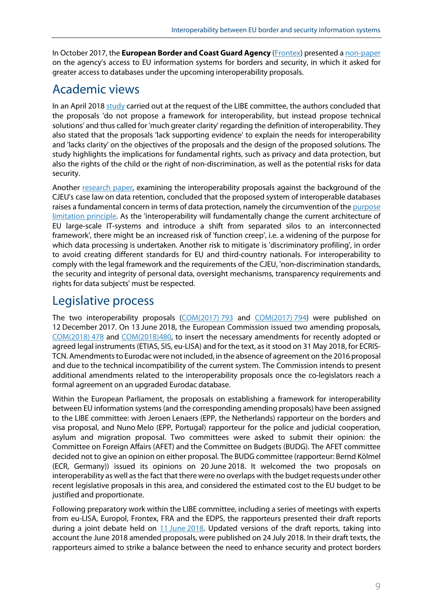In October 2017, the **European Border and Coast Guard Agency** ([Frontex](https://frontex.europa.eu/)) presented a [non-paper](http://www.statewatch.org/news/2017/dec/eu-council-frontex-non-paper-access-databases-15174-17.pdf) on the agency's access to EU information systems for borders and security, in which it asked for greater access to databases under the upcoming interoperability proposals.

## Academic views

In an April 2018 [study](http://www.europarl.europa.eu/RegData/etudes/STUD/2018/604947/IPOL_STU(2018)604947_EN.pdf) carried out at the request of the LIBE committee, the authors concluded that the proposals 'do not propose a framework for interoperability, but instead propose technical solutions' and thus called for 'much greater clarity' regarding the definition of interoperability. They also stated that the proposals 'lack supporting evidence' to explain the needs for interoperability and 'lacks clarity' on the objectives of the proposals and the design of the proposed solutions. The study highlights the implications for fundamental rights, such as privacy and data protection, but also the rights of the child or the right of non-discrimination, as well as the potential risks for data security.

Another [research paper](https://papers.ssrn.com/sol3/papers.cfm?abstract_id=3132506), examining the interoperability proposals against the background of the CJEU's case law on data retention, concluded that the proposed system of interoperable databases raises a fundamental concern in terms of data protection, namely the circumvention of the [purpose](http://fra.europa.eu/en/charterpedia/article/8-protection-personal-data) [limitation principle.](http://fra.europa.eu/en/charterpedia/article/8-protection-personal-data) As the 'interoperability will fundamentally change the current architecture of EU large-scale IT-systems and introduce a shift from separated silos to an interconnected framework', there might be an increased risk of 'function creep', i.e. a widening of the purpose for which data processing is undertaken. Another risk to mitigate is 'discriminatory profiling', in order to avoid creating different standards for EU and third-country nationals. For interoperability to comply with the legal framework and the requirements of the CJEU, 'non-discrimination standards, the security and integrity of personal data, oversight mechanisms, transparency requirements and rights for data subjects' must be respected.

## Legislative process

The two interoperability proposals [\(COM\(2017\)](http://eur-lex.europa.eu/legal-content/EN/TXT/?uri=COM:2017:793:FIN) 793 and [COM\(2017\)](http://eur-lex.europa.eu/legal-content/EN/TXT/?uri=COM:2017:794:FIN) 794) were published on 12 December 2017. On 13 June 2018, the European Commission issued two amending proposals, [COM\(2018\)](https://eur-lex.europa.eu/legal-content/EN/TXT/?uri=COM:2018:0478:FIN) 478 and [COM\(2018\)480,](https://eur-lex.europa.eu/legal-content/EN/TXT/?uri=COM:2018:0480:FIN) to insert the necessary amendments for recently adopted or agreed legal instruments (ETIAS, SIS, eu-LISA) and for the text, as it stood on 31 May 2018, for ECRIS- TCN. Amendments to Eurodac were not included, in the absence of agreement on the 2016 proposal and due to the technical incompatibility of the current system. The Commission intends to present additional amendments related to the interoperability proposals once the co-legislators reach a formal agreement on an upgraded Eurodac database.

Within the European Parliament, the proposals on establishing a framework for interoperability between EU information systems(and the corresponding amending proposals) have been assigned to the LIBE committee: with Jeroen Lenaers (EPP, the Netherlands) rapporteur on the borders and visa proposal, and Nuno Melo (EPP, Portugal) rapporteur for the police and judicial cooperation, asylum and migration proposal. Two committees were asked to submit their opinion: the Committee on Foreign Affairs (AFET) and the Committee on Budgets (BUDG). The AFET committee decided not to give an opinion on either proposal. The BUDG committee (rapporteur: Bernd Kölmel (ECR, Germany)) issued its opinions on 20 June 2018. It welcomed the two proposals on interoperability as well as the fact that there were no overlaps with the budget requests under other recent legislative proposals in this area, and considered the estimated cost to the EU budget to be justified and proportionate.

Following preparatory work within the LIBE committee, including a series of meetings with experts from eu-LISA, Europol, Frontex, FRA and the EDPS, the rapporteurs presented their draft reports during a joint debate held on 11 June [2018.](http://www.emeeting.ep.parl.union.eu/committees/agenda/201806/LIBE/LIBE(2018)0611_1/sitt-8497824) Updated versions of the draft reports, taking into account the June 2018 amended proposals, were published on 24 July 2018. In their draft texts, the rapporteurs aimed to strike a balance between the need to enhance security and protect borders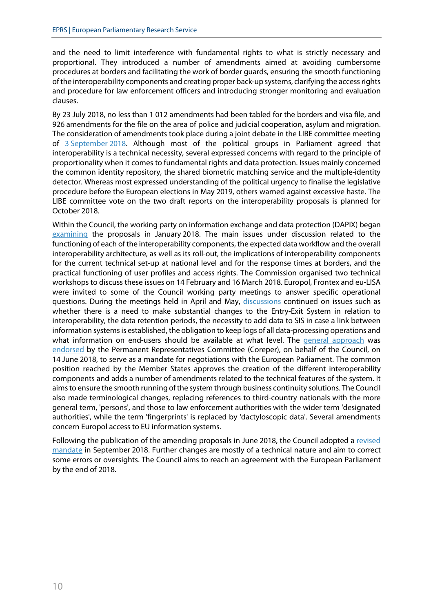and the need to limit interference with fundamental rights to what is strictly necessary and proportional. They introduced a number of amendments aimed at avoiding cumbersome procedures at borders and facilitating the work of border guards, ensuring the smooth functioning of the interoperability components and creating proper back-up systems, clarifying the access rights and procedure for law enforcement officers and introducing stronger monitoring and evaluation clauses.

By 23 July 2018, no less than 1 012 amendments had been tabled for the borders and visa file, and 926 amendments for the file on the area of police and judicial cooperation, asylum and migration. The consideration of amendments took place during a joint debate in the LIBE committee meeting of 3 [September](http://www.emeeting.ep.parl.union.eu/committees/agenda/201809/LIBE/LIBE(2018)0903_1/sitt-8583866) 2018. Although most of the political groups in Parliament agreed that interoperability is a technical necessity, several expressed concerns with regard to the principle of proportionality when it comes to fundamental rights and data protection. Issues mainly concerned the common identity repository, the shared biometric matching service and the multiple-identity detector. Whereas most expressed understanding of the political urgency to finalise the legislative procedure before the European elections in May 2019, others warned against excessive haste. The LIBE committee vote on the two draft reports on the interoperability proposals is planned for October 2018.

Within the Council, the working party on information exchange and data protection (DAPIX) began [examining](http://data.consilium.europa.eu/doc/document/ST-6396-2018-INIT/en/pdf) the proposals in January 2018. The main issues under discussion related to the functioning of each of the interoperability components, the expected data workflow and the overall interoperability architecture, as well as its roll-out, the implications of interoperability components for the current technical set-up at national level and for the response times at borders, and the practical functioning of user profiles and access rights. The Commission organised two technical workshops to discuss these issues on 14 February and 16 March 2018. Europol, Frontex and eu-LISA were invited to some of the Council working party meetings to answer specific operational questions. During the meetings held in April and May, [discussions](http://data.consilium.europa.eu/doc/document/ST-8242-2018-INIT/en/pdf) continued on issues such as whether there is a need to make substantial changes to the Entry-Exit System in relation to interoperability, the data retention periods, the necessity to add data to SIS in case a link between information systems is established, the obligation to keep logs of all data-processing operations and what information on end-users should be available at what level. The [general approach](http://data.consilium.europa.eu/doc/document/ST-10453-2018-INIT/en/pdf) was [endorsed](https://www.consilium.europa.eu/en/press/press-releases/2018/06/14/improving-security-through-information-sharing-council-agrees-negotiating-mandate-on-interoperability/) by the Permanent Representatives Committee (Coreper), on behalf of the Council, on 14 June 2018, to serve as a mandate for negotiations with the European Parliament. The common position reached by the Member States approves the creation of the different interoperability components and adds a number of amendments related to the technical features of the system. It aims to ensure the smooth running of the system through business continuity solutions. The Council also made terminological changes, replacing references to third-country nationals with the more general term, 'persons', and those to law enforcement authorities with the wider term 'designated authorities', while the term 'fingerprints' is replaced by 'dactyloscopic data'. Several amendments concern Europol access to EU information systems.

Following the publication of the amending proposals in June 2018, the Council adopted a [revised](http://data.consilium.europa.eu/doc/document/ST-11312-2018-INIT/en/pdf) [mandate](http://data.consilium.europa.eu/doc/document/ST-11312-2018-INIT/en/pdf) in September 2018. Further changes are mostly of a technical nature and aim to correct some errors or oversights. The Council aims to reach an agreement with the European Parliament by the end of 2018.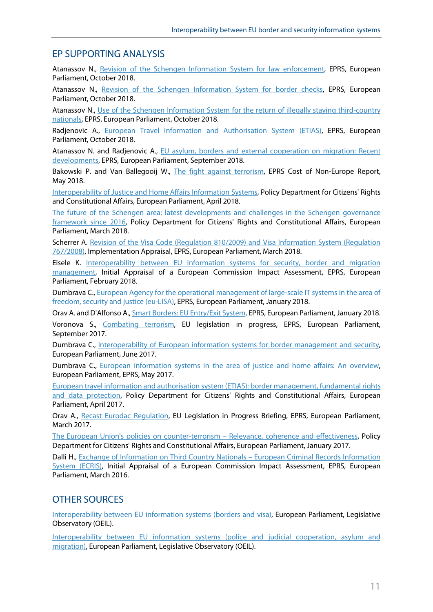## EP SUPPORTING ANALYSIS

Atanassov N., Revision of [the Schengen Information System for law enforcement](http://www.europarl.europa.eu/RegData/etudes/BRIE/2017/599343/EPRS_BRI(2017)599343_EN.pdf), EPRS, European Parliament, October 2018.

Atanassov N., [Revision of the Schengen Information System for border checks,](http://www.europarl.europa.eu/RegData/etudes/BRIE/2017/599341/EPRS_BRI(2017)599341_EN.pdf) EPRS, European Parliament, October 2018.

Atanassov N., [Use of the Schengen Information System for the return of illegally staying third-country](http://www.europarl.europa.eu/RegData/etudes/BRIE/2017/599342/EPRS_BRI(2017)599342_EN.pdf) [nationals](http://www.europarl.europa.eu/RegData/etudes/BRIE/2017/599342/EPRS_BRI(2017)599342_EN.pdf), EPRS, European Parliament, October 2018.

Radjenovic A., [European Travel Information and Authorisation System \(ETIAS\)](http://www.europarl.europa.eu/RegData/etudes/BRIE/2017/599298/EPRS_BRI(2017)599298_EN.pdf), EPRS, European Parliament, October 2018.

Atanassov N. and Radjenovic A., [EU asylum, borders and external cooperation on migration: Recent](http://www.europarl.europa.eu/thinktank/en/document.html?reference=EPRS_IDA(2018)625194) [developments](http://www.europarl.europa.eu/thinktank/en/document.html?reference=EPRS_IDA(2018)625194), EPRS, European Parliament, September 2018.

Bakowski P. and Van Ballegooij W., [The fight against terrorism,](http://www.europarl.europa.eu/thinktank/en/document.html?reference=EPRS_STU(2018)621817) EPRS Cost of Non-Europe Report, May 2018.

[Interoperability of Justice and Home Affairs Information Systems](http://www.europarl.europa.eu/thinktank/en/document.html?reference=IPOL_STU(2018)604947), Policy Department for Citizens' Rights and Constitutional Affairs, European Parliament, April 2018.

[The future of the Schengen area: latest developments and challenges in the Schengen](http://www.europarl.europa.eu/thinktank/en/document.html?reference=IPOL_STU(2018)604943) governance [framework since 2016,](http://www.europarl.europa.eu/thinktank/en/document.html?reference=IPOL_STU(2018)604943) Policy Department for Citizens' Rights and Constitutional Affairs, European Parliament, March 2018.

Scherrer A. [Revision of the Visa Code \(Regulation 810/2009\) and Visa Information System \(Regulation](http://www.europarl.europa.eu/thinktank/en/document.html?reference=EPRS_BRI%282018%29615646) [767/2008\)](http://www.europarl.europa.eu/thinktank/en/document.html?reference=EPRS_BRI%282018%29615646), Implementation Appraisal, EPRS, European Parliament, March 2018.

Eisele K. [Interoperability between EU information systems for security, border and migration](http://www.europarl.europa.eu/RegData/etudes/BRIE/2018/615649/EPRS_BRI(2018)615649_EN.pdf) [management](http://www.europarl.europa.eu/RegData/etudes/BRIE/2018/615649/EPRS_BRI(2018)615649_EN.pdf), Initial Appraisal of a European Commission Impact Assessment, EPRS, European Parliament, February 2018.

Dumbrava C., [European Agency for the operational management of large-scale IT systems in the area of](http://www.europarl.europa.eu/thinktank/en/document.html?reference=EPRS_BRI(2018)614678) [freedom, security and justice \(eu-LISA\)](http://www.europarl.europa.eu/thinktank/en/document.html?reference=EPRS_BRI(2018)614678), EPRS, European Parliament, January 2018.

Orav A. and D'Alfonso A., [Smart Borders: EU Entry/Exit System](http://www.europarl.europa.eu/RegData/etudes/BRIE/2016/586614/EPRS_BRI%282016%29586614_EN.pdf), EPRS, European Parliament, January 2018.

Voronova S., [Combating terrorism](http://www.europarl.europa.eu/thinktank/en/document.html?reference=EPRS_BRI(2017)608682), EU legislation in progress, EPRS, European Parliament, September 2017.

Dumbrava C., [Interoperability of European information systems for border management and security](http://www.europarl.europa.eu/RegData/etudes/BRIE/2017/607256/EPRS_BRI(2017)607256_EN.pdf), European Parliament, June 2017.

Dumbrava C., [European information systems in the area of justice and home affairs: An overview](http://www.europarl.europa.eu/thinktank/en/document.html?reference=EPRS_IDA(2017)603923), European Parliament, EPRS, May 2017.

[European travel information and authorisation system \(ETIAS\): border management, fundamental rights](http://www.europarl.europa.eu/RegData/etudes/STUD/2017/583148/IPOL_STU(2017)583148_EN.pdf) [and data protection](http://www.europarl.europa.eu/RegData/etudes/STUD/2017/583148/IPOL_STU(2017)583148_EN.pdf), Policy Department for Citizens' Rights and Constitutional Affairs, European Parliament, April 2017.

Orav A., [Recast Eurodac Regulation](http://www.europarl.europa.eu/RegData/etudes/BRIE/2016/589808/EPRS_BRI%282016%29589808_EN.pdf), EU Legislation in Progress Briefing, EPRS, European Parliament, March 2017.

[The European Union's policies on counter-terrorism](http://www.europarl.europa.eu/thinktank/en/document.html?reference=IPOL_STU(2017)583124) – Relevance, coherence and effectiveness, Policy Department for Citizens' Rights and Constitutional Affairs, European Parliament, January 2017.

Dalli H., [Exchange of Information on Third Country Nationals](http://www.europarl.europa.eu/RegData/etudes/BRIE/2016/528831/EPRS_BRI(2016)528831_EN.pdf) – European Criminal Records Information [System \(ECRIS\)](http://www.europarl.europa.eu/RegData/etudes/BRIE/2016/528831/EPRS_BRI(2016)528831_EN.pdf), Initial Appraisal of a European Commission Impact Assessment, EPRS, European Parliament, March 2016.

## OTHER SOURCES

[Interoperability between EU information systems \(borders and visa\)](http://www.europarl.europa.eu/oeil/popups/ficheprocedure.do?reference=2017/0351(COD)&l=en), European Parliament, Legislative Observatory (OEIL).

[Interoperability between EU information systems \(police and judicial cooperation, asylum and](http://www.europarl.europa.eu/oeil/popups/ficheprocedure.do?reference=2017/0352(COD)&l=en) [migration\)](http://www.europarl.europa.eu/oeil/popups/ficheprocedure.do?reference=2017/0352(COD)&l=en), European Parliament, Legislative Observatory (OEIL).